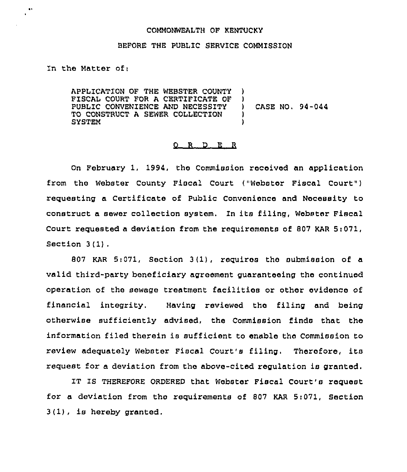## COMMONWEALTH OF KENTUCKY

## BEFORE THE PUBL1C SERVICE COMMISSION

In the Matter of;

 $\bullet$ 

APPLICATION OF THE WEBSTER COUNTY FISCAL COURT FOR A CERTIFICATE OF )<br>PUBLIC CONVENIENCE AND NECESSITY PUBLIC CONVENIENCE AND NECESSITY )<br>TO CONSTRUCT A SEWER COLLECTION ) TO CONSTRUCT A SEWER COLLECTION ) **SYSTEM** 

CASE NO. 94-044

## 0 R D E R

On February 1, 1994, the Commission received an application from the Webster County Fiscal Court {"Webster Fiscal Court") requesting a Certificate of Public Convonionco and Necessity to construct a sewer collection system. In its filing, Webster Fiscal Court requested a deviation from the requirements of 807 KAR Si071, Section 3(1).

807 KAR 5:071, Section 3(1), roquiros tho submission of a valid third-party beneficiary agreement guaranteeing the continued operation of the sewage treatment facilitios or other evidence of financial integrity. Having reviewed tho filing and being otherwise sufficiently advised, the Commission finds that the information filed therein is sufficient to enable tho Commission to review adequately Webster Fiscal Court's filing. Therefore, its request fox a deviation from the above-cited regulation is granted.

IT IS THEREFORE ORDERED that Webster Fiscal Court's request for a deviation from tho requirements of 807 KAR 5:071, Section 3(1), is hereby granted.